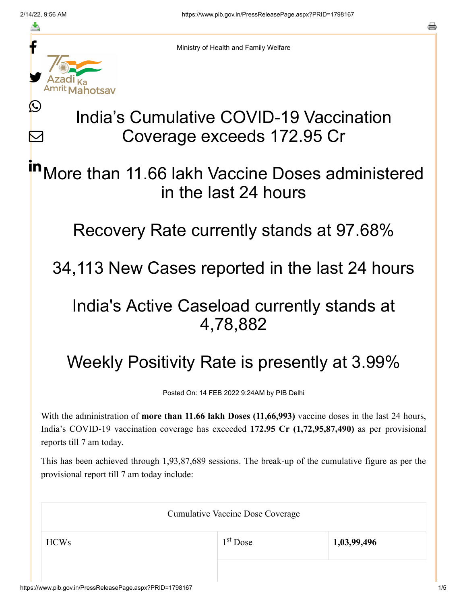≛

Ŀ

 $\bm{\nabla}$ 



Ministry of Health and Family Welfare

## India's Cumulative COVID-19 Vaccination Coverage exceeds 172.95 Cr

More than 11.66 lakh Vaccine Doses administered in the last 24 hours in

Recovery Rate currently stands at 97.68%

34,113 New Cases reported in the last 24 hours

## India's Active Caseload currently stands at 4,78,882

## Weekly Positivity Rate is presently at 3.99%

Posted On: 14 FEB 2022 9:24AM by PIB Delhi

With the administration of **more than 11.66 lakh Doses (11,66,993)** vaccine doses in the last 24 hours, India's COVID-19 vaccination coverage has exceeded **172.95 Cr (1,72,95,87,490)** as per provisional reports till 7 am today.

This has been achieved through 1,93,87,689 sessions. The break-up of the cumulative figure as per the provisional report till 7 am today include:

| <b>Cumulative Vaccine Dose Coverage</b> |            |             |  |
|-----------------------------------------|------------|-------------|--|
| <b>HCWs</b>                             | $1st$ Dose | 1,03,99,496 |  |
|                                         |            |             |  |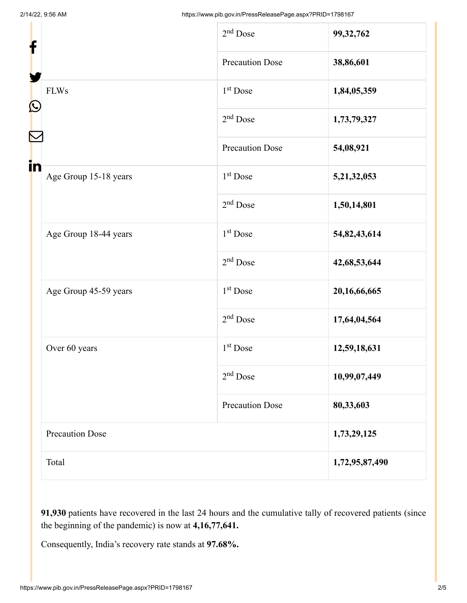| f                 |                        | $2nd$ Dose             | 99, 32, 762    |
|-------------------|------------------------|------------------------|----------------|
| $\mathbf{\Omega}$ |                        | <b>Precaution Dose</b> | 38,86,601      |
|                   | <b>FLWs</b>            | $1st$ Dose             | 1,84,05,359    |
|                   |                        | $2nd$ Dose             | 1,73,79,327    |
|                   |                        | <b>Precaution Dose</b> | 54,08,921      |
| in                | Age Group 15-18 years  | 1 <sup>st</sup> Dose   | 5,21,32,053    |
|                   |                        | $2nd$ Dose             | 1,50,14,801    |
|                   | Age Group 18-44 years  | 1 <sup>st</sup> Dose   | 54,82,43,614   |
|                   |                        | $2nd$ Dose             | 42,68,53,644   |
|                   | Age Group 45-59 years  | 1 <sup>st</sup> Dose   | 20,16,66,665   |
|                   |                        | $2nd$ Dose             | 17,64,04,564   |
|                   | Over 60 years          | $1st$ Dose             | 12,59,18,631   |
|                   |                        | $2nd$ Dose             | 10,99,07,449   |
|                   |                        | <b>Precaution Dose</b> | 80,33,603      |
|                   | <b>Precaution Dose</b> |                        | 1,73,29,125    |
|                   | Total                  |                        | 1,72,95,87,490 |

**91,930** patients have recovered in the last 24 hours and the cumulative tally of recovered patients (since the beginning of the pandemic) is now at **4,16,77,641.**

Consequently, India's recovery rate stands at **97.68%.**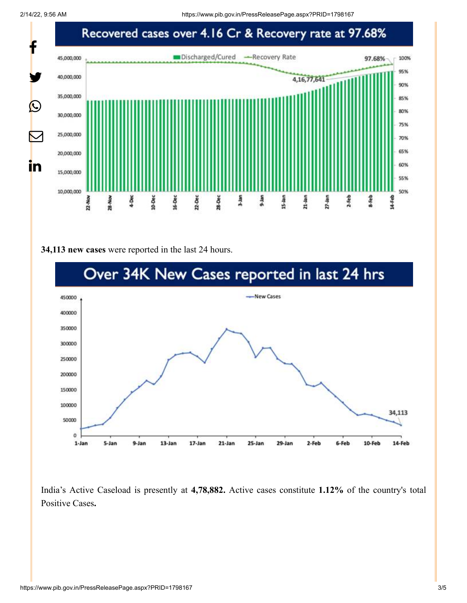

## **34,113 new cases** were reported in the last 24 hours.



India's Active Caseload is presently at **4,78,882.** Active cases constitute **1.12%** of the country's total Positive Cases**.**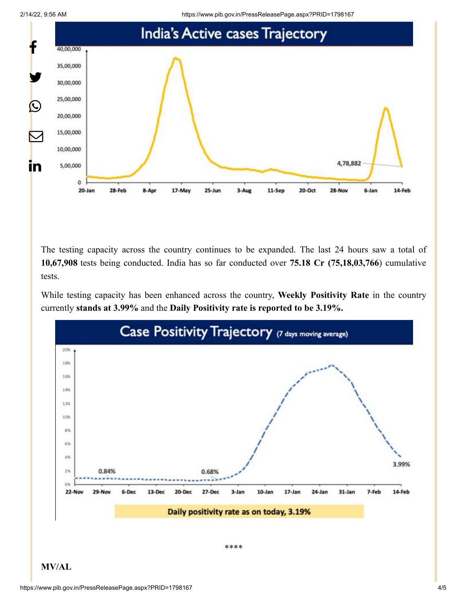



The testing capacity across the country continues to be expanded. The last 24 hours saw a total of **10,67,908** tests being conducted. India has so far conducted over **75.18 Cr (75,18,03,766**) cumulative tests.

While testing capacity has been enhanced across the country, **Weekly Positivity Rate** in the country currently **stands at 3.99%** and the **Daily Positivity rate is reported to be 3.19%.**



**MV/AL**